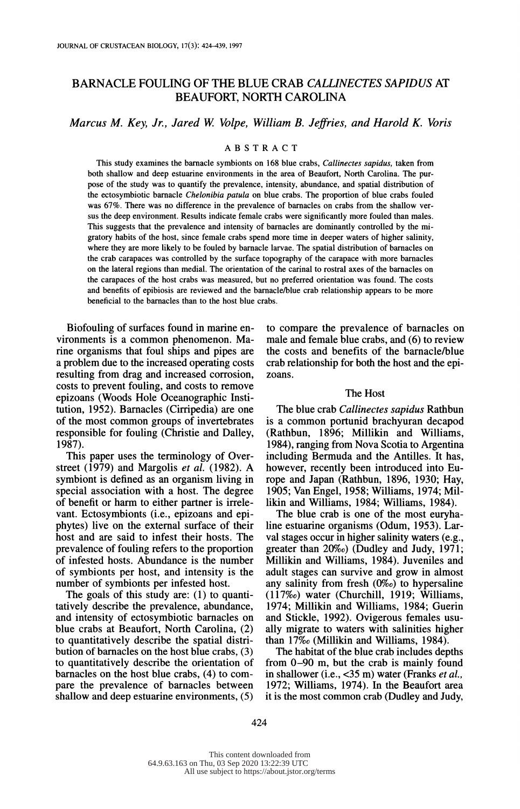# BARNACLE FOULING OF THE BLUE CRAB CALLINECTES SAPIDUS AT BEAUFORT, NORTH CAROLINA

## Marcus M. Key, Jr., Jared W. Volpe, William B. Jeffries, and Harold K. Voris

## ABSTRACT

This study examines the barnacle symbionts on 168 blue crabs, *Callinectes sapidus*, taken from both shallow and deep estuarine environments in the area of Beaufort, North Carolina. The pur pose of the study was to quantify the prevalence, intensity, abundance, and spatial distribution of the ectosymbiotic barnacle Chelonibia patula on blue crabs. The proportion of blue crabs fouled was 67%. There was no difference in the prevalence of barnacles on crabs from the shallow ver sus the deep environment. Results indicate female crabs were significantly more fouled than males. This suggests that the prevalence and intensity of barnacles are dominantly controlled by the mi gratory habits of the host, since female crabs spend more time in deeper waters of higher salinity, where they are more likely to be fouled by barnacle larvae. The spatial distribution of barnacles on the crab carapaces was controlled by the surface topography of the carapace with more barnacles on the lateral regions than medial. The orientation of the carinal to rostral axes of the barnacles on the carapaces of the host crabs was measured, but no preferred orientation was found. The costs and benefits of epibiosis are reviewed and the barnacle/blue crab relationship appears to be more beneficial to the barnacles than to the host blue crabs.

 Biofouling of surfaces found in marine en vironments is a common phenomenon. Ma rine organisms that foul ships and pipes are a problem due to the increased operating costs resulting from drag and increased corrosion, costs to prevent fouling, and costs to remove epizoans (Woods Hole Oceanographic Insti tution, 1952). Barnacles (Cirripedia) are one of the most common groups of invertebrates responsible for fouling (Christie and Dalley, 1987).

 This paper uses the terminology of Over street (1979) and Margolis *et al.* (1982). A symbiont is defined as an organism living in special association with a host. The degree of benefit or harm to either partner is irrele vant. Ectosymbionts (i.e., epizoans and epi phytes) live on the external surface of their host and are said to infest their hosts. The prevalence of fouling refers to the proportion of infested hosts. Abundance is the number of symbionts per host, and intensity is the number of symbionts per infested host.

 The goals of this study are: (1) to quanti tatively describe the prevalence, abundance, and intensity of ectosymbiotic barnacles on blue crabs at Beaufort, North Carolina, (2) to quantitatively describe the spatial distri bution of barnacles on the host blue crabs, (3) to quantitatively describe the orientation of barnacles on the host blue crabs, (4) to com pare the prevalence of barnacles between shallow and deep estuarine environments, (5)  to compare the prevalence of barnacles on male and female blue crabs, and (6) to review the costs and benefits of the barnacle/blue crab relationship for both the host and the epi zoans.

## The Host

The blue crab Callinectes sapidus Rathbun is a common portunid brachyuran decapod (Rathbun, 1896; Millikin and Williams, 1984), ranging from Nova Scotia to Argentina including Bermuda and the Antilles. It has, however, recently been introduced into Eu rope and Japan (Rathbun, 1896, 1930; Hay, 1905; Van Engel, 1958; Williams, 1974; Mil likin and Williams, 1984; Williams, 1984).

 The blue crab is one of the most euryha line estuarine organisms (Odum, 1953). Lar val stages occur in higher salinity waters (e.g., greater than 20%o) (Dudley and Judy, 1971; Millikin and Williams, 1984). Juveniles and adult stages can survive and grow in almost any salinity from fresh  $(0\%)$  to hypersaline (117%o) water (Churchill, 1919; Williams, 1974; Millikin and Williams, 1984; Guerin and Stickle, 1992). Ovigerous females usu ally migrate to waters with salinities higher than 17%o (Millikin and Williams, 1984).

 The habitat of the blue crab includes depths from 0-90 m, but the crab is mainly found in shallower (i.e., <35 m) water (Franks et al., 1972; Williams, 1974). In the Beaufort area it is the most common crab (Dudley and Judy,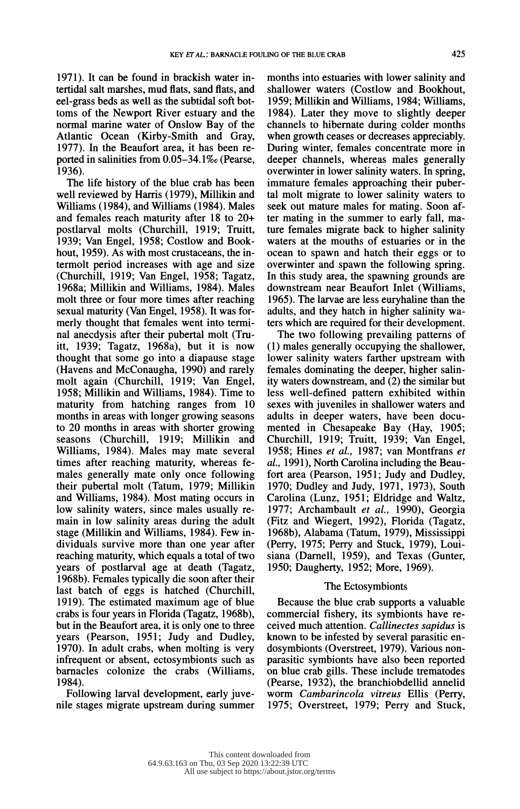1971). It can be found in brackish water in tertidal salt marshes, mud flats, sand flats, and eel-grass beds as well as the subtidal soft bot toms of the Newport River estuary and the normal marine water of Onslow Bay of the Atlantic Ocean (Kirby-Smith and Gray, 1977). In the Beaufort area, it has been re ported in salinities from 0.05-34. 1%o (Pearse, 1936).

 The life history of the blue crab has been well reviewed by Harris (1979), Millikin and Williams (1984), and Williams (1984). Males and females reach maturity after 18 to 20+ postlarval molts (Churchill, 1919; Truitt, 1939; Van Engel, 1958; Costlow and Book hout, 1959). As with most crustaceans, the in termolt period increases with age and size (Churchill, 1919; Van Engel, 1958; Tagatz, 1968a; Millikin and Williams, 1984). Males molt three or four more times after reaching sexual maturity (Van Engel, 1958). It was for merly thought that females went into termi nal anecdysis after their pubertal molt (Tru itt, 1939; Tagatz, 1968a), but it is now thought that some go into a diapause stage (Havens and McConaugha, 1990) and rarely molt again (Churchill, 1919; Van Engel, 1958; Millikin and Williams, 1984). Time to maturity from hatching ranges from 10 months in areas with longer growing seasons to 20 months in areas with shorter growing seasons (Churchill, 1919; Millikin and Williams, 1984). Males may mate several times after reaching maturity, whereas fe males generally mate only once following their pubertal molt (Tatum, 1979; Millikin and Williams, 1984). Most mating occurs in low salinity waters, since males usually re main in low salinity areas during the adult stage (Millikin and Williams, 1984). Few in dividuals survive more than one year after reaching maturity, which equals a total of two years of postlarval age at death (Tagatz, 1968b). Females typically die soon after their last batch of eggs is hatched (Churchill, 1919). The estimated maximum age of blue crabs is four years in Florida (Tagatz, 1968b), but in the Beaufort area, it is only one to three years (Pearson, 1951; Judy and Dudley, 1970). In adult crabs, when molting is very infrequent or absent, ectosymbionts such as barnacles colonize the crabs (Williams, 1984).

 Following larval development, early juve nile stages migrate upstream during summer  months into estuaries with lower salinity and shallower waters (Costlow and Bookhout, 1959; Millikin and Williams, 1984; Williams, 1984). Later they move to slightly deeper channels to hibernate during colder months when growth ceases or decreases appreciably. During winter, females concentrate more in deeper channels, whereas males generally overwinter in lower salinity waters. In spring, immature females approaching their puber tal molt migrate to lower salinity waters to seek out mature males for mating. Soon af ter mating in the summer to early fall, ma ture females migrate back to higher salinity waters at the mouths of estuaries or in the ocean to spawn and hatch their eggs or to overwinter and spawn the following spring. In this study area, the spawning grounds are downstream near Beaufort Inlet (Williams, 1965). The larvae are less euryhaline than the adults, and they hatch in higher salinity wa ters which are required for their development.

 The two following prevailing patterns of (1) males generally occupying the shallower, lower salinity waters farther upstream with females dominating the deeper, higher salin ity waters downstream, and (2) the similar but less well-defined pattern exhibited within sexes with juveniles in shallower waters and adults in deeper waters, have been docu mented in Chesapeake Bay (Hay, 1905; Churchill, 1919; Truitt, 1939; Van Engel, 1958; Hines et al., 1987; van Montfrans et al., 1991), North Carolina including the Beau fort area (Pearson, 1951; Judy and Dudley, 1970; Dudley and Judy, 1971, 1973), South Carolina (Lunz, 1951; Eldridge and Waltz, 1977; Archambault et al., 1990), Georgia (Fitz and Wiegert, 1992), Florida (Tagatz, 1968b), Alabama (Tatum, 1979), Mississippi (Perry, 1975; Perry and Stuck, 1979), Loui siana (Damell, 1959), and Texas (Gunter, 1950; Daugherty, 1952; More, 1969).

## The Ectosymbionts

 Because the blue crab supports a valuable commercial fishery, its symbionts have re ceived much attention. Callinectes sapidus is known to be infested by several parasitic en dosymbionts (Overstreet, 1979). Various non parasitic symbionts have also been reported on blue crab gills. These include trematodes (Pearse, 1932), the branchiobdellid annelid worm Cambarincola vitreus Ellis (Perry, 1975; Overstreet, 1979; Perry and Stuck,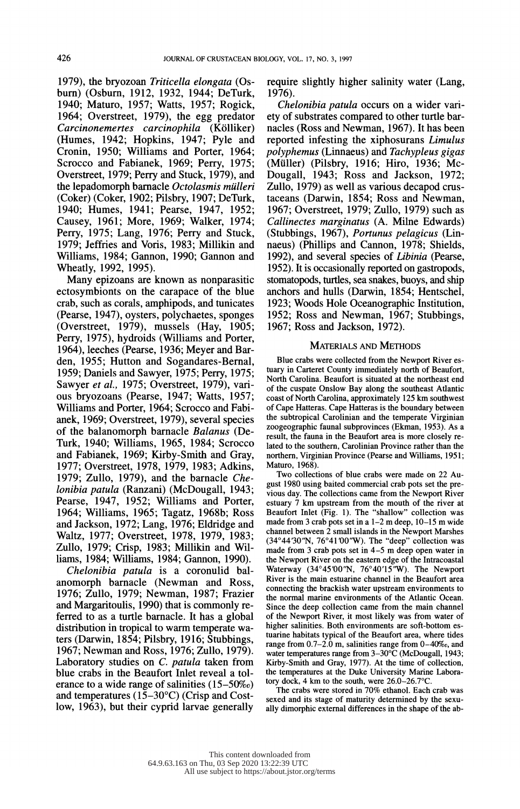1979), the bryozoan Triticella elongata (Os burn) (Osburn, 1912, 1932, 1944; DeTurk, 1940; Maturo, 1957; Watts, 1957; Rogick, 1964; Overstreet, 1979), the egg predator Carcinonemertes carcinophila (Kölliker) (Humes, 1942; Hopkins, 1947; Pyle and Cronin, 1950; Williams and Porter, 1964; Scrocco and Fabianek, 1969; Perry, 1975; Overstreet, 1979; Perry and Stuck, 1979), and the lepadomorph barnacle  $Octolasmis$  mülleri (Coker) (Coker, 1902; Pilsbry, 1907; DeTurk, 1940; Humes, 1941; Pearse, 1947, 1952; Causey, 1961; More, 1969; Walker, 1974; Perry, 1975; Lang, 1976; Perry and Stuck, 1979; Jeffries and Voris, 1983; Millikin and Williams, 1984; Gannon, 1990; Gannon and Wheatly, 1992, 1995).

 Many epizoans are known as nonparasitic ectosymbionts on the carapace of the blue crab, such as corals, amphipods, and tunicates (Pearse, 1947), oysters, polychaetes, sponges (Overstreet, 1979), mussels (Hay, 1905; Perry, 1975), hydroids (Williams and Porter, 1964), leeches (Pearse, 1936; Meyer and Bar den, 1955; Hutton and Sogandares-Bernal, 1959; Daniels and Sawyer, 1975; Perry, 1975; Sawyer et al., 1975; Overstreet, 1979), vari ous bryozoans (Pearse, 1947; Watts, 1957; Williams and Porter, 1964; Scrocco and Fabi anek, 1969; Overstreet, 1979), several species of the balanomorph barnacle Balanus (De- Turk, 1940; Williams, 1965, 1984; Scrocco and Fabianek, 1969; Kirby-Smith and Gray, 1977; Overstreet, 1978, 1979, 1983; Adkins, 1979; Zullo, 1979), and the barnacle Che lonibia patula (Ranzani) (McDougall, 1943; Pearse, 1947, 1952; Williams and Porter, 1964; Williams, 1965; Tagatz, 1968b; Ross and Jackson, 1972; Lang, 1976; Eldridge and Waltz, 1977; Overstreet, 1978, 1979, 1983; Zullo, 1979; Crisp, 1983; Millikin and Wil liams, 1984; Williams, 1984; Gannon, 1990).

 Chelonibia patula is a coronulid bal anomorph barnacle (Newman and Ross, 1976; Zullo, 1979; Newman, 1987; Frazier and Margaritoulis, 1990) that is commonly re ferred to as a turtle barnacle. It has a global distribution in tropical to warm temperate wa ters (Darwin, 1854; Pilsbry, 1916; Stubbings, 1967; Newman and Ross, 1976; Zullo, 1979). Laboratory studies on C. patula taken from blue crabs in the Beaufort Inlet reveal a tol erance to a wide range of salinities (15-50%o) and temperatures (15-30?C) (Crisp and Cost low, 1963), but their cyprid larvae generally require slightly higher salinity water (Lang, 1976).

 Chelonibia patula occurs on a wider vari ety of substrates compared to other turtle bar nacles (Ross and Newman, 1967). It has been reported infesting the xiphosurans Limulus polyphemus (Linnaeus) and Tachypleus gigas (Miuller) (Pilsbry, 1916; Hiro, 1936; Mc- Dougall, 1943; Ross and Jackson, 1972; Zullo, 1979) as well as various decapod crus taceans (Darwin, 1854; Ross and Newman, 1967; Overstreet, 1979; Zullo, 1979) such as Callinectes marginatus (A. Milne Edwards) (Stubbings, 1967), Portunus pelagicus (Lin naeus) (Phillips and Cannon, 1978; Shields, 1992), and several species of Libinia (Pearse, 1952). It is occasionally reported on gastropods, stomatopods, turtles, sea snakes, buoys, and ship anchors and hulls (Darwin, 1854; Hentschel, 1923; Woods Hole Oceanographic Institution, 1952; Ross and Newman, 1967; Stubbings, 1967; Ross and Jackson, 1972).

#### MATERIALS AND METHODS

 Blue crabs were collected from the Newport River es tuary in Carteret County immediately north of Beaufort, North Carolina. Beaufort is situated at the northeast end of the cuspate Onslow Bay along the southeast Atlantic coast of North Carolina, approximately 125 km southwest of Cape Hatteras. Cape Hatteras is the boundary between the subtropical Carolinian and the temperate Virginian zoogeographic faunal subprovinces (Ekman, 1953). As a result, the fauna in the Beaufort area is more closely re lated to the southern, Carolinian Province rather than the northern, Virginian Province (Pearse and Williams, 1951; Maturo, 1968).

 Two collections of blue crabs were made on 22 Au gust 1980 using baited commercial crab pots set the pre vious day. The collections came from the Newport River estuary 7 km upstream from the mouth of the river at Beaufort Inlet (Fig. 1). The "shallow" collection was made from 3 crab pots set in a 1-2 m deep, 10-15 m wide channel between  $\hat{2}$  small islands in the Newport Marshes (34°44'30"N, 76°41'00"W). The "deep" collection was made from 3 crab pots set in 4-5 m deep open water in the Newport River on the eastern edge of the Intracoastal Waterway  $(34^{\circ}45'00''N, 76^{\circ}40'15''W)$ . The Newport River is the main estuarine channel in the Beaufort area connecting the brackish water upstream environments to the normal marine environments of the Atlantic Ocean. Since the deep collection came from the main channel of the Newport River, it most likely was from water of higher salinities. Both environments are soft-bottom es tuarine habitats typical of the Beaufort area, where tides range from 0.7-2.0 m, salinities range from 0-40%o, and water temperatures range from 3-30°C (McDougall, 1943; Kirby-Smith and Gray, 1977). At the time of collection, the temperatures at the Duke University Marine Labora tory dock, 4 km to the south, were 26.0-26.7°C.

 The crabs were stored in 70% ethanol. Each crab was sexed and its stage of maturity determined by the sexu ally dimorphic external differences in the shape of the ab-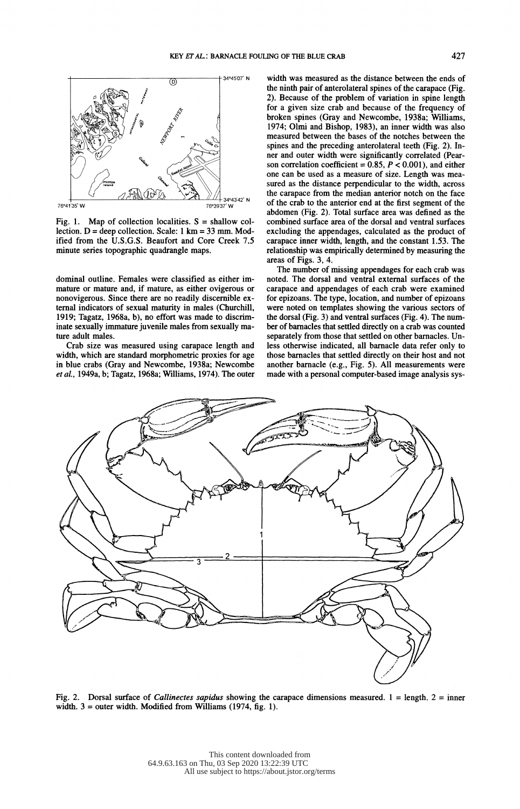

Fig. 1. Map of collection localities.  $S = \text{shallow col-}$ lection.  $D =$  deep collection. Scale: 1 km = 33 mm. Mod ified from the U.S.G.S. Beaufort and Core Creek 7.5 minute series topographic quadrangle maps.

 dominal outline. Females were classified as either im mature or mature and, if mature, as either ovigerous or nonovigerous. Since there are no readily discernible ex ternal indicators of sexual maturity in males (Churchill, 1919; Tagatz, 1968a, b), no effort was made to discrim inate sexually immature juvenile males from sexually ma ture adult males.

 Crab size was measured using carapace length and width, which are standard morphometric proxies for age in blue crabs (Gray and Newcombe, 1938a; Newcombe et al., 1949a, b; Tagatz, 1968a; Williams, 1974). The outer  width was measured as the distance between the ends of the ninth pair of anterolateral spines of the carapace (Fig. 2). Because of the problem of variation in spine length for a given size crab and because of the frequency of broken spines (Gray and Newcombe, 1938a; Williams, 1974; Olmi and Bishop, 1983), an inner width was also measured between the bases of the notches between the spines and the preceding anterolateral teeth (Fig. 2). In ner and outer width were significantly correlated (Pear son correlation coefficient =  $0.85$ ,  $P < 0.001$ ), and either one can be used as a measure of size. Length was mea sured as the distance perpendicular to the width, across the carapace from the median anterior notch on the face of the crab to the anterior end at the first segment of the abdomen (Fig. 2). Total surface area was defined as the combined surface area of the dorsal and ventral surfaces excluding the appendages, calculated as the product of carapace inner width, length, and the constant 1.53. The relationship was empirically determined by measuring the areas of Figs. 3, 4.

 The number of missing appendages for each crab was noted. The dorsal and ventral external surfaces of the carapace and appendages of each crab were examined for epizoans. The type, location, and number of epizoans were noted on templates showing the various sectors of the dorsal (Fig. 3) and ventral surfaces (Fig. 4). The num ber of barnacles that settled directly on a crab was counted separately from those that settled on other barnacles. Un less otherwise indicated, all barnacle data refer only to those barnacles that settled directly on their host and not another barnacle (e.g., Fig. 5). All measurements were made with a personal computer-based image analysis sys-



Fig. 2. Dorsal surface of *Callinectes sapidus* showing the carapace dimensions measured. 1 = length. 2 = inner width.  $3 =$  outer width. Modified from Williams (1974, fig. 1).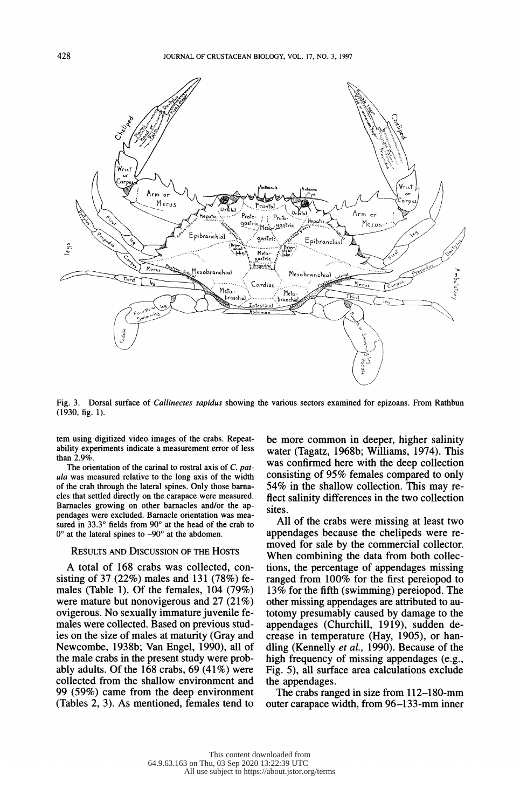

Fig. 3. Dorsal surface of *Callinectes sapidus* showing the various sectors examined for epizoans. From Rathbun<br>(1939, 6 to 1) Fig. 3. Dorsal surface of *Callinectes*.<br>(1930, fig. 1).

tem using digitized video images of the crabs. Repeat-<br>ability experiments indicate a measurement error of less water (Tagatz, 1968b; Williams, 1974). This<br>than 20% than 2.9%.

The orientation of the carinal to rostral axis of C. pat ula was measured relative to the long axis of the width of the crab through the lateral spines. Only those barna cles that settled directly on the carapace were measured. Barnacles growing on other barnacles and/or the ap pendages were excluded. Barnacle orientation was mea sured in 33.3° fields from 90° at the head of the crab to  $0^{\circ}$  at the lateral spines to  $-90^{\circ}$  at the abdomen.

### RESULTS AND DISCUSSION OF THE HOSTS

 A total of 168 crabs was collected, con sisting of 37 (22%) males and 131 (78%) fe males (Table 1). Of the females, 104 (79%) were mature but nonovigerous and 27 (21%) ovigerous. No sexually immature juvenile fe males were collected. Based on previous stud ies on the size of males at maturity (Gray and Newcombe, 1938b; Van Engel, 1990), all of the male crabs in the present study were prob ably adults. Of the  $168$  crabs,  $69$  (41%) were collected from the shallow environment and 99 (59%) came from the deep environment (Tables 2, 3). As mentioned, females tend to

 tem using digitized video images of the crabs. Repeat- be more common in deeper, higher salinity was confirmed here with the deep collection consisting of 95% females compared to only 54% in the shallow collection. This may re flect salinity differences in the two collection sites.

> All of the crabs were missing at least two appendages because the chelipeds were re moved for sale by the commercial collector. When combining the data from both collec tions, the percentage of appendages missing ranged from 100% for the first pereiopod to 13% for the fifth (swimming) pereiopod. The other missing appendages are attributed to au totomy presumably caused by damage to the appendages (Churchill, 1919), sudden de crease in temperature (Hay, 1905), or han dling (Kennelly et al., 1990). Because of the high frequency of missing appendages (e.g., Fig. 5), all surface area calculations exclude the appendages.

> The crabs ranged in size from 112-180-mm outer carapace width, from 96-133-mm inner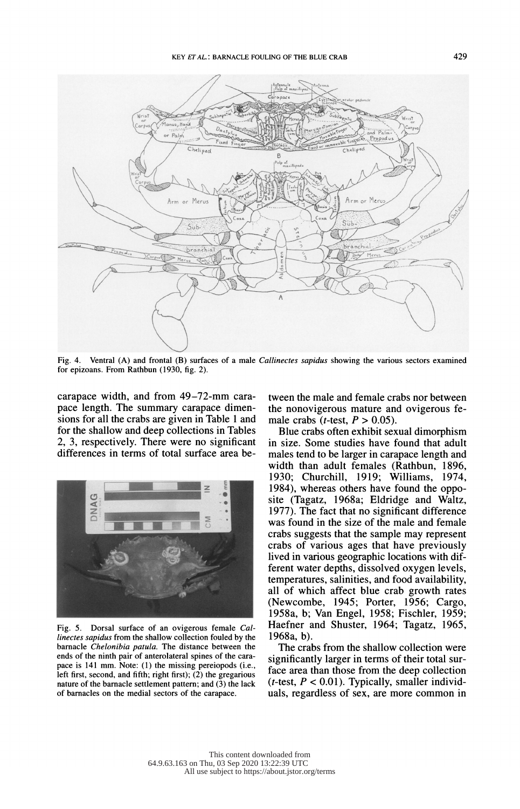

Fig. 4. Ventral (A) and frontal (B) surfaces of a male *Callinectes sapidus* showing the various sectors examined for epizoans. From Rathbun (1930, fig. 2).

 carapace width, and from 49-72-mm cara pace length. The summary carapace dimen sions for all the crabs are given in Table 1 and for the shallow and deep collections in Tables 2, 3, respectively. There were no significant differences in terms of total surface area be-



 Fig. 5. Dorsal surface of an ovigerous female Cal linectes sapidus from the shallow collection fouled by the barnacle Chelonibia patula. The distance between the ends of the ninth pair of anterolateral spines of the cara pace is 141 mm. Note: (1) the missing pereiopods (i.e., left first, second, and fifth; right first); (2) the gregarious nature of the barnacle settlement pattern; and (3) the lack of barnacles on the medial sectors of the carapace.

 tween the male and female crabs nor between the nonovigerous mature and ovigerous fe male crabs (*t*-test,  $P > 0.05$ ).

 Blue crabs often exhibit sexual dimorphism in size. Some studies have found that adult males tend to be larger in carapace length and width than adult females (Rathbun, 1896, 1930; Churchill, 1919; Williams, 1974, 1984), whereas others have found the oppo site (Tagatz, 1968a; Eldridge and Waltz, 1977). The fact that no significant difference was found in the size of the male and female crabs suggests that the sample may represent crabs of various ages that have previously lived in various geographic locations with dif ferent water depths, dissolved oxygen levels, temperatures, salinities, and food availability, all of which affect blue crab growth rates (Newcombe, 1945; Porter, 1956; Cargo, 1958a, b; Van Engel, 1958; Fischler, 1959; Haefner and Shuster, 1964; Tagatz, 1965, 1968a, b).

 The crabs from the shallow collection were significantly larger in terms of their total sur face area than those from the deep collection (*t*-test,  $P < 0.01$ ). Typically, smaller individuals, regardless of sex, are more common in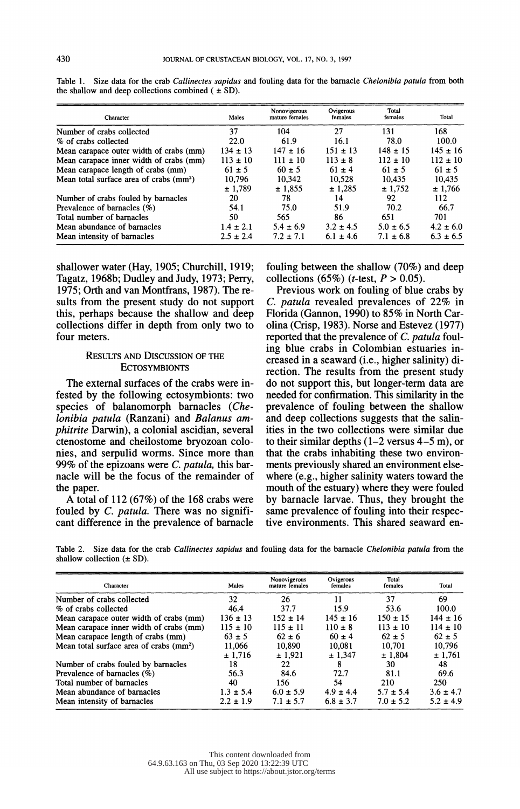| Character                                           | Males         | Nonovigerous<br>mature females | Ovigerous<br>females | Total<br>females | Total         |
|-----------------------------------------------------|---------------|--------------------------------|----------------------|------------------|---------------|
| Number of crabs collected                           | 37            | 104                            | 27                   | 131              | 168.          |
| % of crabs collected                                | 22.0          | 61.9                           | 16.1                 | 78.0             | 100.0         |
| Mean carapace outer width of crabs (mm)             | $134 \pm 13$  | $147 \pm 16$                   | $151 \pm 13$         | $148 \pm 15$     | $145 \pm 16$  |
| Mean carapace inner width of crabs (mm)             | $113 \pm 10$  | $111 \pm 10$                   | $113 \pm 8$          | $112 \pm 10$     | $112 \pm 10$  |
| Mean carapace length of crabs (mm)                  | $61 \pm 5$    | $60 \pm 5$                     | $61 \pm 4$           | $61 \pm 5$       | $61 \pm 5$    |
| Mean total surface area of crabs (mm <sup>2</sup> ) | 10.796        | 10.342                         | 10,528               | 10.435           | 10.435        |
|                                                     | ± 1.789       | ± 1.855                        | ± 1.285              | ± 1.752          | ± 1.766       |
| Number of crabs fouled by barnacles                 | 20            | 78                             | 14                   | 92               | 112           |
| Prevalence of barnacles $(\%)$                      | 54.1          | 75.0                           | 51.9                 | 70.2             | 66.7          |
| Total number of barnacles                           | 50            | 565                            | 86                   | 651              | 701           |
| Mean abundance of barnacles                         | $1.4 \pm 2.1$ | $5.4 \pm 6.9$                  | $3.2 \pm 4.5$        | $5.0 \pm 6.5$    | $4.2 \pm 6.0$ |
| Mean intensity of barnacles                         | $2.5 \pm 2.4$ | $7.2 \pm 7.1$                  | $6.1 \pm 4.6$        | $7.1 \pm 6.8$    | $6.3 \pm 6.5$ |

Table 1. Size data for the crab *Callinectes sapidus* and fouling data for the barnacle *Chelonibia patula* from both the shallow and deep collections combined  $( \pm SD)$ .

 shallower water (Hay, 1905; Churchill, 1919; Tagatz, 1968b; Dudley and Judy, 1973; Perry, 1975; Orth and van Montfrans, 1987). The re sults from the present study do not support this, perhaps because the shallow and deep collections differ in depth from only two to four meters.

## RESULTS AND DISCUSSION OF THE **ECTOSYMBIONTS**

 The external surfaces of the crabs were in fested by the following ectosymbionts: two species of balanomorph barnacles (Che lonibia patula (Ranzani) and Balanus am phitrite Darwin), a colonial ascidian, several ctenostome and cheilostome bryozoan colo nies, and serpulid worms. Since more than 99% of the epizoans were  $C$ . patula, this bar nacle will be the focus of the remainder of the paper.

 A total of 112 (67%) of the 168 crabs were fouled by C. patula. There was no significant difference in the prevalence of barnacle  fouling between the shallow (70%) and deep collections (65%) (*t*-test,  $P > 0.05$ ).

 Previous work on fouling of blue crabs by C. patula revealed prevalences of 22% in Florida (Gannon, 1990) to 85% in North Car olina (Crisp, 1983). Norse and Estevez (1977) reported that the prevalence of C. patula foul ing blue crabs in Colombian estuaries in creased in a seaward (i.e., higher salinity) di rection. The results from the present study do not support this, but longer-term data are needed for confirmation. This similarity in the prevalence of fouling between the shallow and deep collections suggests that the salin ities in the two collections were similar due to their similar depths  $(1-2 \text{ versus } 4-5 \text{ m})$ , or that the crabs inhabiting these two environ ments previously shared an environment else where (e.g., higher salinity waters toward the mouth of the estuary) where they were fouled by barnacle larvae. Thus, they brought the same prevalence of fouling into their respec tive environments. This shared seaward en-

Table 2. Size data for the crab Callinectes sapidus and fouling data for the barnacle Chelonibia patula from the shallow collection  $(\pm SD)$ .

| Character                                           | Males         | Nonovigerous<br>mature females | Ovigerous<br>females | Total<br>females | Total         |
|-----------------------------------------------------|---------------|--------------------------------|----------------------|------------------|---------------|
| Number of crabs collected                           | 32            | 26                             | 11                   | 37               | 69            |
| % of crabs collected                                | 46.4          | 37.7                           | 15.9                 | 53.6             | 100.0         |
| Mean carapace outer width of crabs (mm)             | $136 \pm 13$  | $152 \pm 14$                   | $145 \pm 16$         | $150 \pm 15$     | $144 \pm 16$  |
| Mean carapace inner width of crabs (mm)             | $115 \pm 10$  | $115 \pm 11$                   | $110 \pm 8$          | $113 \pm 10$     | $114 \pm 10$  |
| Mean carapace length of crabs (mm)                  | $63 \pm 5$    | $62 \pm 6$                     | $60 \pm 4$           | $62 \pm 5$       | $62 \pm 5$    |
| Mean total surface area of crabs (mm <sup>2</sup> ) | 11,066        | 10,890                         | 10,081               | 10,701           | 10.796        |
|                                                     | ± 1.716       | ± 1.921                        | ± 1.347              | ± 1.804          | ± 1,761       |
| Number of crabs fouled by barnacles                 | 18            | 22                             | 8                    | 30               | 48            |
| Prevalence of barnacles $(\%)$                      | 56.3          | 84.6                           | 72.7                 | 81.1             | 69.6          |
| Total number of barnacles                           | 40            | 156                            | 54                   | 210              | 250           |
| Mean abundance of barnacles                         | $1.3 \pm 5.4$ | $6.0 \pm 5.9$                  | $4.9 \pm 4.4$        | $5.7 \pm 5.4$    | $3.6 \pm 4.7$ |
| Mean intensity of barnacles                         | $2.2 \pm 1.9$ | $7.1 \pm 5.7$                  | $6.8 \pm 3.7$        | $7.0 \pm 5.2$    | $5.2 \pm 4.9$ |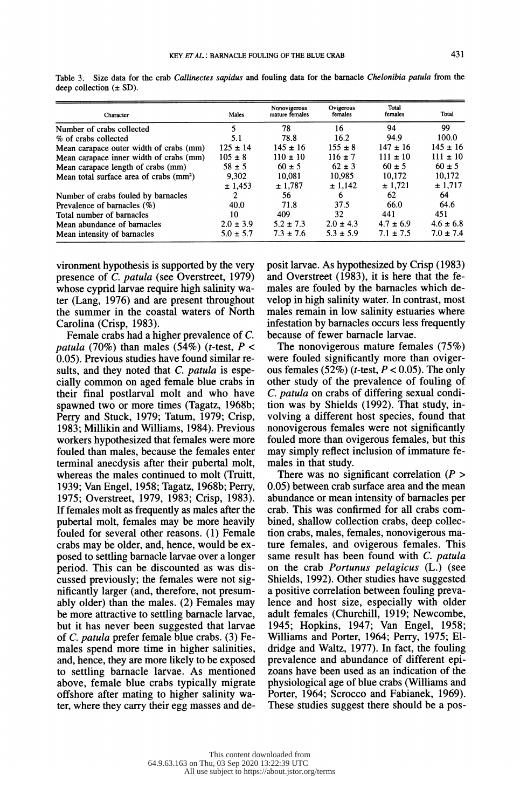| Character                                           | Males         | Nonovigerous<br>mature females | Ovigerous<br>females | Total<br>females | Total         |
|-----------------------------------------------------|---------------|--------------------------------|----------------------|------------------|---------------|
| Number of crabs collected                           | 5             | 78                             | 16                   | 94               | 99            |
| % of crabs collected                                | 5.1           | 78.8                           | 16.2                 | 94.9             | 100.0         |
| Mean carapace outer width of crabs (mm)             | $125 \pm 14$  | $145 \pm 16$                   | $155 \pm 8$          | $147 \pm 16$     | $145 \pm 16$  |
| Mean carapace inner width of crabs (mm)             | $105 \pm 8$   | $110 \pm 10$                   | $116 \pm 7$          | $111 \pm 10$     | $111 \pm 10$  |
| Mean carapace length of crabs (mm)                  | $58 \pm 5$    | $60 \pm 5$                     | $62 \pm 3$           | $60 \pm 5$       | $60 \pm 5$    |
| Mean total surface area of crabs (mm <sup>2</sup> ) | 9,302         | 10.081                         | 10.985               | 10.172           | 10.172        |
|                                                     | ± 1.453       | ± 1,787                        | ± 1.142              | ± 1,721          | ± 1,717       |
| Number of crabs fouled by barnacles                 |               | 56.                            | 6                    | 62               | 64            |
| Prevalence of barnacles (%)                         | 40.0          | 71.8                           | 37.5                 | 66.0             | 64.6          |
| Total number of barnacles                           | 10            | 409                            | 32                   | 441              | 451           |
| Mean abundance of barnacles                         | $2.0 \pm 3.9$ | $5.2 \pm 7.3$                  | $2.0 \pm 4.3$        | $4.7 \pm 6.9$    | $4.6 \pm 6.8$ |
| Mean intensity of barnacles                         | $5.0 \pm 5.7$ | $7.3 \pm 7.6$                  | $5.3 \pm 5.9$        | $7.1 \pm 7.5$    | $7.0 \pm 7.4$ |

Table 3. Size data for the crab Callinectes sapidus and fouling data for the barnacle Chelonibia patula from the deep collection  $(\pm SD)$ .

 vironment hypothesis is supported by the very presence of C. patula (see Overstreet, 1979) whose cyprid larvae require high salinity wa ter (Lang, 1976) and are present throughout the summer in the coastal waters of North Carolina (Crisp, 1983).

 Female crabs had a higher prevalence of C. patula (70%) than males (54%) (t-test,  $P <$  0.05). Previous studies have found similar re sults, and they noted that C. patula is espe cially common on aged female blue crabs in their final postlarval molt and who have spawned two or more times (Tagatz, 1968b; Perry and Stuck, 1979; Tatum, 1979; Crisp, 1983; Millikin and Williams, 1984). Previous workers hypothesized that females were more fouled than males, because the females enter terminal anecdysis after their pubertal molt, whereas the males continued to molt (Truitt, 1939; Van Engel, 1958; Tagatz, 1968b; Perry, 1975; Overstreet, 1979, 1983; Crisp, 1983). If females molt as frequently as males after the pubertal molt, females may be more heavily fouled for several other reasons. (1) Female crabs may be older, and, hence, would be ex posed to settling barnacle larvae over a longer period. This can be discounted as was dis cussed previously; the females were not sig nificantly larger (and, therefore, not presum ably older) than the males. (2) Females may be more attractive to settling barnacle larvae, but it has never been suggested that larvae of C. patula prefer female blue crabs. (3) Fe males spend more time in higher salinities, and, hence, they are more likely to be exposed to settling barnacle larvae. As mentioned above, female blue crabs typically migrate offshore after mating to higher salinity wa ter, where they carry their egg masses and de posit larvae. As hypothesized by Crisp (1983) and Overstreet (1983), it is here that the fe males are fouled by the barnacles which de velop in high salinity water. In contrast, most males remain in low salinity estuaries where infestation by barnacles occurs less frequently because of fewer barnacle larvae.

 The nonovigerous mature females (75%) were fouled significantly more than oviger ous females (52%) (*t*-test,  $P < 0.05$ ). The only other study of the prevalence of fouling of C. patula on crabs of differing sexual condi tion was by Shields (1992). That study, in volving a different host species, found that nonovigerous females were not significantly fouled more than ovigerous females, but this may simply reflect inclusion of immature fe males in that study.

There was no significant correlation  $(P >$  0.05) between crab surface area and the mean abundance or mean intensity of barnacles per crab. This was confirmed for all crabs com bined, shallow collection crabs, deep collec tion crabs, males, females, nonovigerous ma ture females, and ovigerous females. This same result has been found with C. patula on the crab Portunus pelagicus (L.) (see Shields, 1992). Other studies have suggested a positive correlation between fouling preva lence and host size, especially with older adult females (Churchill, 1919; Newcombe, 1945; Hopkins, 1947; Van Engel, 1958; Williams and Porter, 1964; Perry, 1975; El dridge and Waltz, 1977). In fact, the fouling prevalence and abundance of different epi zoans have been used as an indication of the physiological age of blue crabs (Williams and Porter, 1964; Scrocco and Fabianek, 1969). These studies suggest there should be a pos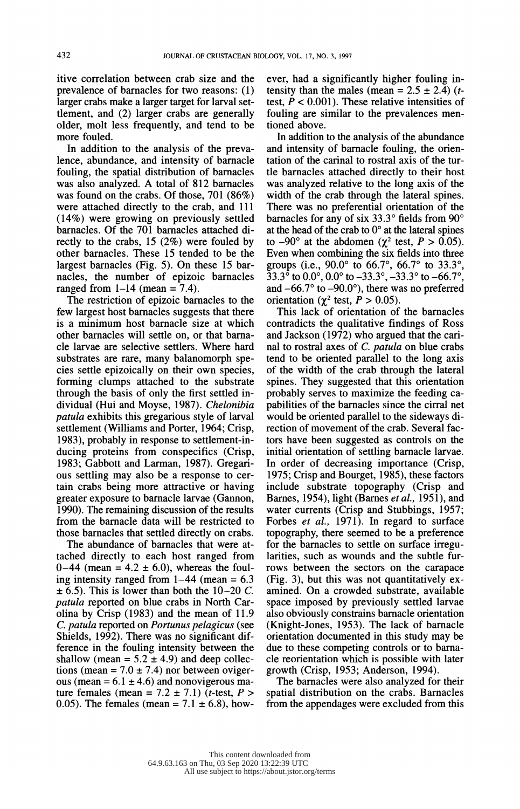itive correlation between crab size and the prevalence of barnacles for two reasons: (1) larger crabs make a larger target for larval set tlement, and (2) larger crabs are generally older, molt less frequently, and tend to be more fouled.

 In addition to the analysis of the preva lence, abundance, and intensity of barnacle fouling, the spatial distribution of barnacles was also analyzed. A total of 812 barnacles was found on the crabs. Of those, 701 (86%) were attached directly to the crab, and 111 (14%) were growing on previously settled barnacles. Of the 701 barnacles attached di rectly to the crabs, 15 (2%) were fouled by other barnacles. These 15 tended to be the largest barnacles (Fig. 5). On these 15 bar nacles, the number of epizoic barnacles ranged from  $1-14$  (mean = 7.4).

 The restriction of epizoic barnacles to the few largest host barnacles suggests that there is a minimum host barnacle size at which other barnacles will settle on, or that barna cle larvae are selective settlers. Where hard substrates are rare, many balanomorph spe cies settle epizoically on their own species, forming clumps attached to the substrate through the basis of only the first settled in dividual (Hui and Moyse, 1987). Chelonibia patula exhibits this gregarious style of larval settlement (Williams and Porter, 1964; Crisp, 1983), probably in response to settlement-in ducing proteins from conspecifics (Crisp, 1983; Gabbott and Larman, 1987). Gregari ous settling may also be a response to cer tain crabs being more attractive or having greater exposure to barnacle larvae (Gannon, 1990). The remaining discussion of the results from the barnacle data will be restricted to those barnacles that settled directly on crabs.

 The abundance of barnacles that were at tached directly to each host ranged from  $0-44$  (mean =  $4.2 \pm 6.0$ ), whereas the fouling intensity ranged from  $1-44$  (mean = 6.3)  $\pm$  6.5). This is lower than both the 10-20 C. patula reported on blue crabs in North Car olina by Crisp (1983) and the mean of 11.9 C. patula reported on Portunus pelagicus (see Shields, 1992). There was no significant dif ference in the fouling intensity between the shallow (mean =  $5.2 \pm 4.9$ ) and deep collections (mean =  $7.0 \pm 7.4$ ) nor between ovigerous (mean =  $6.1 \pm 4.6$ ) and nonovigerous mature females (mean =  $7.2 \pm 7.1$ ) (*t*-test, *P* > 0.05). The females (mean =  $7.1 \pm 6.8$ ), how ever, had a significantly higher fouling in tensity than the males (mean =  $2.5 \pm 2.4$ ) (ttest,  $\dot{P}$  < 0.001). These relative intensities of fouling are similar to the prevalences men tioned above.

 In addition to the analysis of the abundance and intensity of barnacle fouling, the orien tation of the carinal to rostral axis of the tur tle barnacles attached directly to their host was analyzed relative to the long axis of the width of the crab through the lateral spines. There was no preferential orientation of the barnacles for any of six  $33.3^{\circ}$  fields from  $90^{\circ}$ at the head of the crab to  $0^{\circ}$  at the lateral spines to -90° at the abdomen ( $\chi^2$  test,  $P > 0.05$ ). Even when combining the six fields into three groups (i.e.,  $90.0^{\circ}$  to 66.7°, 66.7° to 33.3°,  $33.3^{\circ}$  to  $0.0^{\circ}$ ,  $0.0^{\circ}$  to  $-33.3^{\circ}$ ,  $-33.3^{\circ}$  to  $-66.7^{\circ}$ , and  $-66.7^{\circ}$  to  $-90.0^{\circ}$ ), there was no preferred orientation ( $\gamma^2$  test,  $P > 0.05$ ).

 This lack of orientation of the barnacles contradicts the qualitative findings of Ross and Jackson (1972) who argued that the cari nal to rostral axes of C. patula on blue crabs tend to be oriented parallel to the long axis of the width of the crab through the lateral spines. They suggested that this orientation probably serves to maximize the feeding ca pabilities of the barnacles since the cirral net would be oriented parallel to the sideways di rection of movement of the crab. Several fac tors have been suggested as controls on the initial orientation of settling barnacle larvae. In order of decreasing importance (Crisp, 1975; Crisp and Bourget, 1985), these factors include substrate topography (Crisp and Barnes, 1954), light (Barnes et al., 1951), and water currents (Crisp and Stubbings, 1957; Forbes *et al.*, 1971). In regard to surface topography, there seemed to be a preference for the barnacles to settle on surface irregu larities, such as wounds and the subtle fur rows between the sectors on the carapace (Fig. 3), but this was not quantitatively ex amined. On a crowded substrate, available space imposed by previously settled larvae also obviously constrains barnacle orientation (Knight-Jones, 1953). The lack of barnacle orientation documented in this study may be due to these competing controls or to barna cle reorientation which is possible with later growth (Crisp, 1953; Anderson, 1994).

 The barnacles were also analyzed for their spatial distribution on the crabs. Barnacles from the appendages were excluded from this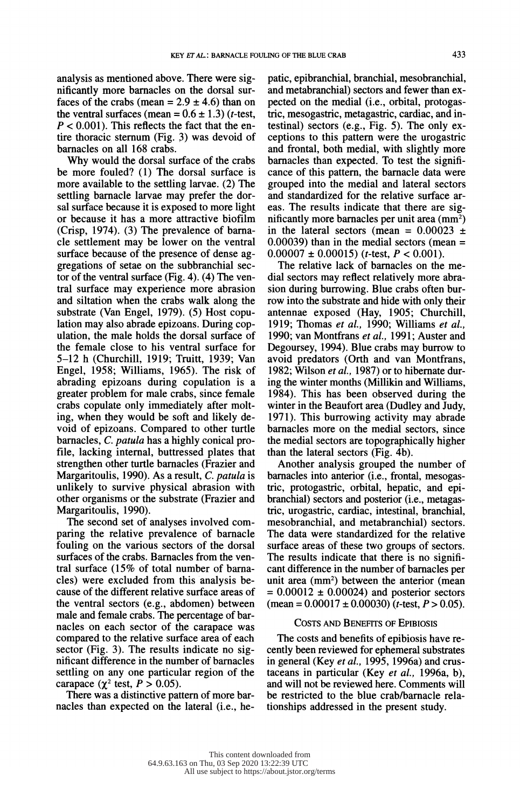analysis as mentioned above. There were sig nificantly more barnacles on the dorsal sur faces of the crabs (mean =  $2.9 \pm 4.6$ ) than on the ventral surfaces (mean =  $0.6 \pm 1.3$ ) (t-test,  $P < 0.001$ ). This reflects the fact that the en tire thoracic sternum (Fig. 3) was devoid of barnacles on all 168 crabs.

 Why would the dorsal surface of the crabs be more fouled? (1) The dorsal surface is more available to the settling larvae. (2) The settling barnacle larvae may prefer the dor sal surface because it is exposed to more light or because it has a more attractive biofilm (Crisp, 1974). (3) The prevalence of barna cle settlement may be lower on the ventral surface because of the presence of dense ag gregations of setae on the subbranchial sec tor of the ventral surface (Fig. 4). (4) The ven tral surface may experience more abrasion and siltation when the crabs walk along the substrate (Van Engel, 1979). (5) Host copu lation may also abrade epizoans. During cop ulation, the male holds the dorsal surface of the female close to his ventral surface for 5-12 h (Churchill, 1919; Truitt, 1939; Van Engel, 1958; Williams, 1965). The risk of abrading epizoans during copulation is a greater problem for male crabs, since female crabs copulate only immediately after molt ing, when they would be soft and likely de void of epizoans. Compared to other turtle barnacles, C. patula has a highly conical pro file, lacking internal, buttressed plates that strengthen other turtle barnacles (Frazier and Margaritoulis, 1990). As a result, C. patula is unlikely to survive physical abrasion with other organisms or the substrate (Frazier and Margaritoulis, 1990).

 The second set of analyses involved com paring the relative prevalence of barnacle fouling on the various sectors of the dorsal surfaces of the crabs. Barnacles from the ven tral surface (15% of total number of barna cles) were excluded from this analysis be cause of the different relative surface areas of the ventral sectors (e.g., abdomen) between male and female crabs. The percentage of bar nacles on each sector of the carapace was compared to the relative surface area of each sector (Fig. 3). The results indicate no sig nificant difference in the number of barnacles settling on any one particular region of the carapace ( $\chi^2$  test,  $P > 0.05$ ).

 There was a distinctive pattern of more bar nacles than expected on the lateral (i.e., he patic, epibranchial, branchial, mesobranchial, and metabranchial) sectors and fewer than ex pected on the medial (i.e., orbital, protogas tric, mesogastric, metagastric, cardiac, and in testinal) sectors (e.g., Fig. 5). The only ex ceptions to this pattern were the urogastric and frontal, both medial, with slightly more barnacles than expected. To test the signifi cance of this pattern, the barnacle data were grouped into the medial and lateral sectors and standardized for the relative surface ar eas. The results indicate that there are sig nificantly more barnacles per unit area (mm2) in the lateral sectors (mean =  $0.00023 \pm$  $0.00039$ ) than in the medial sectors (mean =  $0.00007 \pm 0.00015$  (*t*-test, *P* < 0.001).

 The relative lack of barnacles on the me dial sectors may reflect relatively more abra sion during burrowing. Blue crabs often bur row into the substrate and hide with only their antennae exposed (Hay, 1905; Churchill, 1919; Thomas et al., 1990; Williams et al., 1990; van Montfrans et al., 1991; Auster and Degoursey, 1994). Blue crabs may burrow to avoid predators (Orth and van Montfrans, 1982; Wilson *et al.*, 1987) or to hibernate dur ing the winter months (Millikin and Williams, 1984). This has been observed during the winter in the Beaufort area (Dudley and Judy, 1971). This burrowing activity may abrade barnacles more on the medial sectors, since the medial sectors are topographically higher than the lateral sectors (Fig. 4b).

 Another analysis grouped the number of barnacles into anterior (i.e., frontal, mesogas tric, protogastric, orbital, hepatic, and epi branchial) sectors and posterior (i.e., metagas tric, urogastric, cardiac, intestinal, branchial, mesobranchial, and metabranchial) sectors. The data were standardized for the relative surface areas of these two groups of sectors. The results indicate that there is no signifi cant difference in the number of barnacles per unit area (mm<sup>2</sup>) between the anterior (mean  $= 0.00012 \pm 0.00024$  and posterior sectors  $(\text{mean} = 0.00017 \pm 0.00030)$  (*t*-test, *P* > 0.05).

#### COSTS AND BENEFITS OF EPIBIOSIS

 The costs and benefits of epibiosis have re cently been reviewed for ephemeral substrates in general (Key et al., 1995, 1996a) and crustaceans in particular (Key et al., 1996a, b), and will not be reviewed here. Comments will be restricted to the blue crab/barnacle rela tionships addressed in the present study.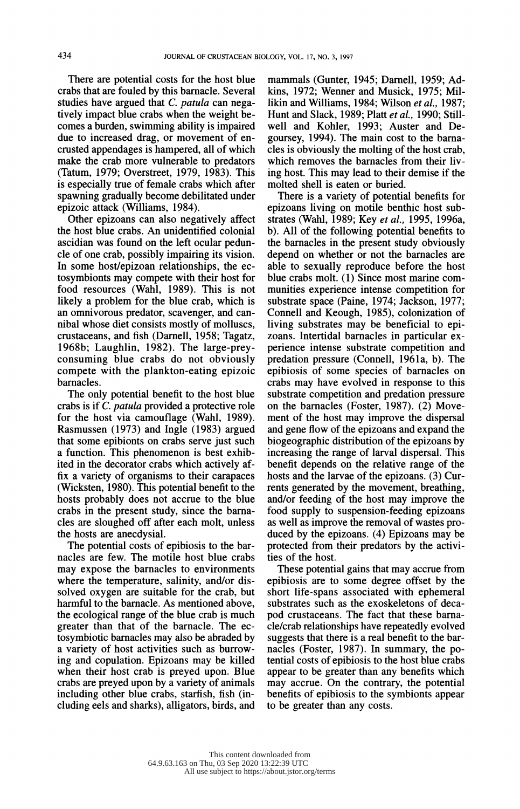There are potential costs for the host blue crabs that are fouled by this barnacle. Several studies have argued that C. patula can nega tively impact blue crabs when the weight be comes a burden, swimming ability is impaired due to increased drag, or movement of en crusted appendages is hampered, all of which make the crab more vulnerable to predators (Tatum, 1979; Overstreet, 1979, 1983). This is especially true of female crabs which after spawning gradually become debilitated under epizoic attack (Williams, 1984).

 Other epizoans can also negatively affect the host blue crabs. An unidentified colonial ascidian was found on the left ocular pedun cle of one crab, possibly impairing its vision. In some host/epizoan relationships, the ec tosymbionts may compete with their host for food resources (Wahl, 1989). This is not likely a problem for the blue crab, which is an omnivorous predator, scavenger, and can nibal whose diet consists mostly of molluscs, crustaceans, and fish (Darnell, 1958; Tagatz, 1968b; Laughlin, 1982). The large-prey consuming blue crabs do not obviously compete with the plankton-eating epizoic barnacles.

 The only potential benefit to the host blue crabs is if C. patula provided a protective role for the host via camouflage (Wahl, 1989). Rasmussen (1973) and Ingle (1983) argued that some epibionts on crabs serve just such a function. This phenomenon is best exhib ited in the decorator crabs which actively af fix a variety of organisms to their carapaces (Wicksten, 1980). This potential benefit to the hosts probably does not accrue to the blue crabs in the present study, since the barna cles are sloughed off after each molt, unless the hosts are anecdysial.

 The potential costs of epibiosis to the bar nacles are few. The motile host blue crabs may expose the barnacles to environments where the temperature, salinity, and/or dis solved oxygen are suitable for the crab, but harmful to the barnacle. As mentioned above, the ecological range of the blue crab is much greater than that of the barnacle. The ec tosymbiotic barnacles may also be abraded by a variety of host activities such as burrow ing and copulation. Epizoans may be killed when their host crab is preyed upon. Blue crabs are preyed upon by a variety of animals including other blue crabs, starfish, fish (in cluding eels and sharks), alligators, birds, and mammals (Gunter, 1945; Darnell, 1959; Ad kins, 1972; Wenner and Musick, 1975; Mil likin and Williams, 1984; Wilson et al., 1987; Hunt and Slack, 1989; Platt et al., 1990; Still well and Kohler, 1993; Auster and De goursey, 1994). The main cost to the barna cles is obviously the molting of the host crab, which removes the barnacles from their liv ing host. This may lead to their demise if the molted shell is eaten or buried.

 There is a variety of potential benefits for epizoans living on motile benthic host sub strates (Wahl, 1989; Key et al., 1995, 1996a, b). All of the following potential benefits to the barnacles in the present study obviously depend on whether or not the barnacles are able to sexually reproduce before the host blue crabs molt. (1) Since most marine com munities experience intense competition for substrate space (Paine, 1974; Jackson, 1977; Connell and Keough, 1985), colonization of living substrates may be beneficial to epi zoans. Intertidal barnacles in particular ex perience intense substrate competition and predation pressure (Connell, 1961a, b). The epibiosis of some species of barnacles on crabs may have evolved in response to this substrate competition and predation pressure on the barnacles (Foster, 1987). (2) Move ment of the host may improve the dispersal and gene flow of the epizoans and expand the biogeographic distribution of the epizoans by increasing the range of larval dispersal. This benefit depends on the relative range of the hosts and the larvae of the epizoans. (3) Cur rents generated by the movement, breathing, and/or feeding of the host may improve the food supply to suspension-feeding epizoans as well as improve the removal of wastes pro duced by the epizoans. (4) Epizoans may be protected from their predators by the activi ties of the host.

 These potential gains that may accrue from epibiosis are to some degree offset by the short life-spans associated with ephemeral substrates such as the exoskeletons of deca pod crustaceans. The fact that these barna cle/crab relationships have repeatedly evolved suggests that there is a real benefit to the bar nacles (Foster, 1987). In summary, the po tential costs of epibiosis to the host blue crabs appear to be greater than any benefits which may accrue. On the contrary, the potential benefits of epibiosis to the symbionts appear to be greater than any costs.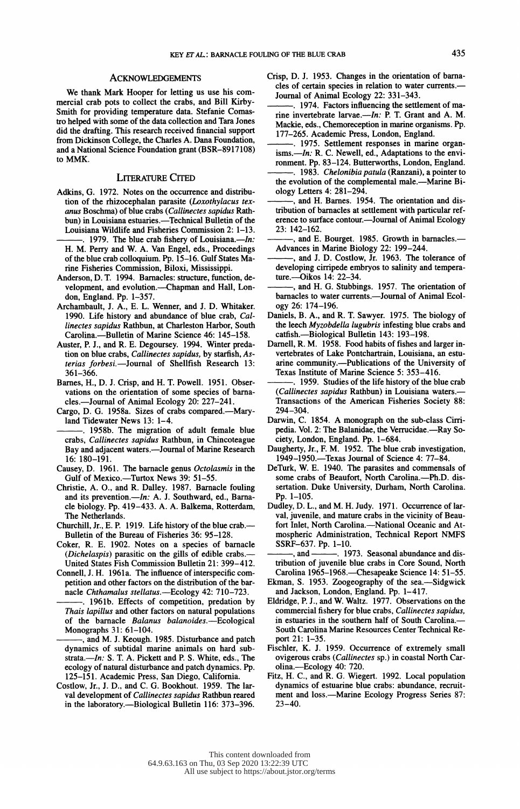We thank Mark Hooper for letting us use his com mercial crab pots to collect the crabs, and Bill Kirby- Smith for providing temperature data. Stefanie Comas tro helped with some of the data collection and Tara Jones did the drafting. This research received financial support from Dickinson College, the Charles A. Dana Foundation, and a National Science Foundation grant (BSR-8917108) to MMK.

#### LITERATURE CITED

- Adkins, G. 1972. Notes on the occurrence and distribu tion of the rhizocephalan parasite (Loxothylacus tex anus Boschma) of blue crabs (Callinectes sapidus Rath bun) in Louisiana estuaries.-Technical Bulletin of the Louisiana Wildlife and Fisheries Commission 2: 1-13.
- 1979. The blue crab fishery of Louisiana.— $In:$  H. M. Perry and W. A. Van Engel, eds., Proceedings of the blue crab colloquium. Pp. 15-16. Gulf States Ma rine Fisheries Commission, Biloxi, Mississippi.
- Anderson, D. T. 1994. Barnacles: structure, function, de velopment, and evolution.---Chapman and Hall, London, England. Pp. 1-357.
- Archambault, J. A., E. L. Wenner, and J. D. Whitaker. 1990. Life history and abundance of blue crab, Cal linectes sapidus Rathbun, at Charleston Harbor, South Carolina.---Bulletin of Marine Science 46: 145-158.
- Auster, P. J., and R. E. Degoursey. 1994. Winter preda tion on blue crabs, Callinectes sapidus, by starfish, As terias forbesi.--Journal of Shellfish Research 13: 361-366.
- Barnes, H., D. J. Crisp, and H. T. Powell. 1951. Obser vations on the orientation of some species of barna cles.-Journal of Animal Ecology 20: 227-241.
- Cargo, D. G. 1958a. Sizes of crabs compared.-Maryland Tidewater News 13: 1-4.
- . 1958b. The migration of adult female blue crabs, Callinectes sapidus Rathbun, in Chincoteague Bay and adjacent waters.--Journal of Marine Research 16: 180-191.
- Causey, D. 1961. The barnacle genus Octolasmis in the Gulf of Mexico.-Turtox News 39: 51-55.
- Christie, A. O., and R. Dalley. 1987. Barnacle fouling and its prevention.—*In*: A. J. Southward, ed., Barna cle biology. Pp. 419-433. A. A. Balkema, Rotterdam, The Netherlands.
- Churchill, Jr., E. P. 1919. Life history of the blue crab.-Bulletin of the Bureau of Fisheries 36: 95-128.
- Coker, R. E. 1902. Notes on a species of barnacle (Dichelaspis) parasitic on the gills of edible crabs.- United States Fish Commission Bulletin 21: 399-412.
- Connell, J. H. 1961a. The influence of interspecific com petition and other factors on the distribution of the bar nacle Chthamalus stellatus.-Ecology 42: 710-723.
- . 1961b. Effects of competition, predation by Thais lapillus and other factors on natural populations of the barnacle Balanus balanoides.—Ecological Monographs 31: 61-104.
- , and M. J. Keough. 1985. Disturbance and patch dynamics of subtidal marine animals on hard sub strata.--In: S. T. A. Pickett and P. S. White, eds., The ecology of natural disturbance and patch dynamics. Pp. 125-151. Academic Press, San Diego, California.
- Costlow, Jr., J. D., and C. G. Bookhout. 1959. The lar val development of Callinectes sapidus Rathbun reared in the laboratory.—Biological Bulletin 116: 373-396.
- Crisp, D. J. 1953. Changes in the orientation of barna cles of certain species in relation to water currents. Journal of Animal Ecology 22: 331-343.
- . 1974. Factors influencing the settlement of ma rine invertebrate larvae.- $In: P.$  T. Grant and A. M. Mackie, eds., Chemoreception in marine organisms. Pp. 177-265. Academic Press, London, England.
- . 1975. Settlement responses in marine organ isms. $-\ln$ : R. C. Newell, ed., Adaptations to the environment. Pp. 83-124. Butterworths, London, England.
- . 1983. Chelonibia patula (Ranzani), a pointer to the evolution of the complemental male.—Marine Biology Letters 4: 281-294.
- , and H. Barnes. 1954. The orientation and dis tribution of barnacles at settlement with particular ref erence to surface contour.—Journal of Animal Ecology 23: 142-162.
- and E. Bourget. 1985. Growth in barnacles.-Advances in Marine Biology 22: 199-244.
- , and J. D. Costlow, Jr. 1963. The tolerance of developing cirripede embryos to salinity and tempera ture.-Oikos 14: 22-34.
- , and H. G. Stubbings. 1957. The orientation of barnacles to water currents.--Journal of Animal Ecology 26: 174-196.
- Daniels, B. A., and R. T. Sawyer. 1975. The biology of the leech Myzobdella lugubris infesting blue crabs and catfish.-Biological Bulletin 143: 193-198.
- Darnell, R. M. 1958. Food habits of fishes and larger in vertebrates of Lake Pontchartrain, Louisiana, an estu arine community.-Publications of the University of Texas Institute of Marine Science 5: 353-416.
- . 1959. Studies of the life history of the blue crab (Callinectes sapidus Rathbun) in Louisiana waters.- Transactions of the American Fisheries Society 88: 294-304.
- Darwin, C. 1854. A monograph on the sub-class Cirri pedia. Vol. 2: The Balanidae, the Verrucidae.—Ray Society, London, England. Pp. 1-684.
- Daugherty, Jr., F. M. 1952. The blue crab investigation, 1949-1950.-Texas Journal of Science 4: 77-84.
- DeTurk, W. E. 1940. The parasites and commensals of some crabs of Beaufort, North Carolina.--Ph.D. dis sertation. Duke University, Durham, North Carolina. Pp. 1-105.
- Dudley, D. L., and M. H. Judy. 1971. Occurrence of lar val, juvenile, and mature crabs in the vicinity of Beau fort Inlet, North Carolina.-National Oceanic and At mospheric Administration, Technical Report NMFS SSRF-637. Pp. 1-10.<br>  $\frac{1}{1}$  and  $\frac{1}{1}$  19
- -. 1973. Seasonal abundance and dis tribution of juvenile blue crabs in Core Sound, North Carolina 1965-1968.—Chesapeake Science 14: 51-55.
- Ekman, S. 1953. Zoogeography of the sea.-Sidgwick and Jackson, London, England. Pp. 1-417.
- Eldridge, P. J., and W. Waltz. 1977. Observations on the commercial fishery for blue crabs, Callinectes sapidus, in estuaries in the southern half of South Carolina.- South Carolina Marine Resources Center Technical Re port 21: 1-35.
- Fischler, K. J. 1959. Occurrence of extremely small ovigerous crabs (Callinectes sp.) in coastal North Car olina.-Ecology 40: 720.
- Fitz, H. C., and R. G. Wiegert. 1992. Local population dynamics of estuarine blue crabs: abundance, recruit ment and loss.—Marine Ecology Progress Series 87:  $23 - 40.$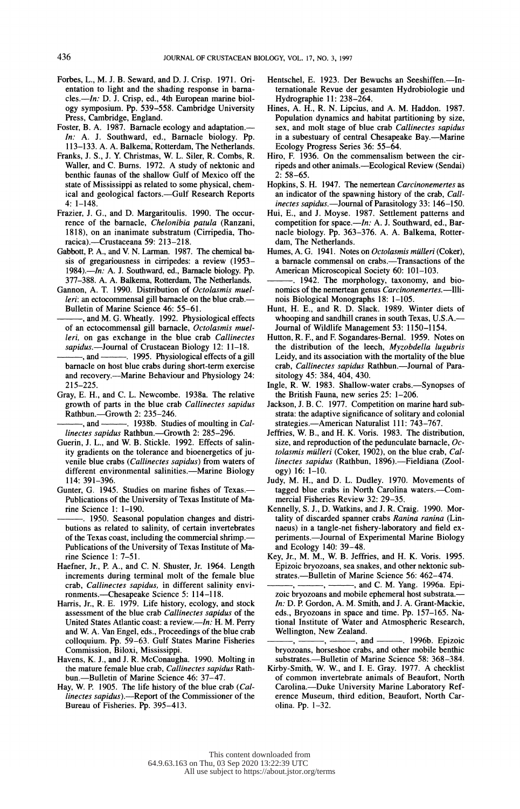- Forbes, L., M. J. B. Seward, and D. J. Crisp. 1971. Ori entation to light and the shading response in barna cles.--In: D. J. Crisp, ed., 4th European marine biol ogy symposium. Pp. 539-558. Cambridge University Press, Cambridge, England.
- Foster, B. A. 1987. Barnacle ecology and adaptation.— In: A. J. Southward, ed., Barnacle biology. Pp. 113-133. A. A. Balkema, Rotterdam, The Netherlands.
- Franks, J. S., J. Y. Christmas, W. L. Siler, R. Combs, R. Waller, and C. Burns. 1972. A study of nektonic and benthic faunas of the shallow Gulf of Mexico off the state of Mississippi as related to some physical, chem ical and geological factors.-Gulf Research Reports  $4: 1 - 148.$
- Frazier, J. G., and D. Margaritoulis. 1990. The occur rence of the barnacle, Chelonibia patula (Ranzani, 1818), on an inanimate substratum (Cirripedia, Tho racica).-Crustaceana 59: 213-218.
- Gabbott, P. A., and V. N. Larman. 1987. The chemical ba sis of gregariousness in cirripedes: a review (1953-  $1984$ . $\frac{1}{2}$   $\frac{1}{2}$  A. J. Southward, ed., Barnacle biology. Pp. 377-388. A. A. Balkema, Rotterdam, The Netherlands.
- Gannon, A. T. 1990. Distribution of Octolasmis muel leri: an ectocommensal gill barnacle on the blue crab.-Bulletin of Marine Science 46: 55-61.
- , and M. G. Wheatly. 1992. Physiological effects of an ectocommensal gill barnacle, Octolasmis muel leri, on gas exchange in the blue crab Callinectes sapidus.—Journal of Crustacean Biology 12: 11–18.<br>------, and --------. 1995. Physiological effects of a gi
- . 1995. Physiological effects of a gill barnacle on host blue crabs during short-term exercise and recovery.—Marine Behaviour and Physiology 24: 215-225.
- Gray, E. H., and C. L. Newcombe. 1938a. The relative growth of parts in the blue crab Callinectes sapidus Rathbun.-Growth 2: 235-246.

-. 1938b. Studies of moulting in Callinectes sapidus Rathbun.-Growth 2: 285-296.

- Guerin, J. L., and W. B. Stickle. 1992. Effects of salin ity gradients on the tolerance and bioenergetics of ju venile blue crabs (Callinectes sapidus) from waters of different environmental salinities.-Marine Biology 114: 391-396.
- Gunter, G. 1945. Studies on marine fishes of Texas.- Publications of the University of Texas Institute of Ma rine Science 1: 1-190.
- . 1950. Seasonal population changes and distri butions as related to salinity, of certain invertebrates of the Texas coast, including the commercial shrimp.- Publications of the University of Texas Institute of Ma rine Science 1: 7-51.
- Haefner, Jr., P. A., and C. N. Shuster, Jr. 1964. Length increments during terminal molt of the female blue crab, Callinectes sapidus, in different salinity envi ronments.-Chesapeake Science 5: 114-118.
- Harris, Jr., R. E. 1979. Life history, ecology, and stock assessment of the blue crab Callinectes sapidus of the United States Atlantic coast: a review.—In: H. M. Perry and W. A. Van Engel, eds., Proceedings of the blue crab colloquium. Pp. 59-63. Gulf States Marine Fisheries Commission, Biloxi, Mississippi.
- Havens, K. J., and J. R. McConaugha. 1990. Molting in the mature female blue crab, Callinectes sapidus Rath bun.-Bulletin of Marine Science 46: 37-47.
- Hay, W. P. 1905. The life history of the blue crab (Callinectes sapidus).-Report of the Commissioner of the Bureau of Fisheries. Pp. 395-413.
- Hentschel, E. 1923. Der Bewuchs an Seeshiffen.---In ternationale Revue der gesamten Hydrobiologie und Hydrographie 11: 238-264.
- Hines, A. H., R. N. Lipcius, and A. M. Haddon. 1987. Population dynamics and habitat partitioning by size, sex, and molt stage of blue crab *Callinectes sapidus* in a subestuary of central Chesapeake Bay.—Marine Ecology Progress Series 36: 55-64.
- Hiro, F. 1936. On the commensalism between the cir ripeds and other animals.-Ecological Review (Sendai)  $2: 58 - 65.$
- Hopkins, S. H. 1947. The nemertean Carcinonemertes as an indicator of the spawning history of the crab, Call inectes sapidus.—Journal of Parasitology 33: 146-150.
- Hui, E., and J. Moyse. 1987. Settlement patterns and competition for space.--In: A. J. Southward, ed., Bar nacle biology. Pp. 363-376. A. A. Balkema, Rotter dam, The Netherlands.
- Humes, A. G. 1941. Notes on Octolasmis mülleri (Coker), a barnacle commensal on crabs.-Transactions of the American Microscopical Society 60: 101-103.
- . 1942. The morphology, taxonomy, and bio nomics of the nemertean genus Carcinonemertes.—Illinois Biological Monographs 18: 1-105.
- Hunt, H. E., and R. D. Slack. 1989. Winter diets of whooping and sandhill cranes in south Texas, U.S.A.- Journal of Wildlife Management 53: 1150-1154.
- Hutton, R. F., and F. Sogandares-Bernal. 1959. Notes on the distribution of the leech, Myzobdella lugubris Leidy, and its association with the mortality of the blue crab, Callinectes sapidus Rathbun.--Journal of Parasitology 45: 384, 404, 430.
- Ingle, R. W. 1983. Shallow-water crabs.—Synopses of the British Fauna, new series 25: 1-206.
- Jackson, J. B. C. 1977. Competition on marine hard sub strata: the adaptive significance of solitary and colonial strategies.-American Naturalist 111: 743-767.
- Jeffries, W. B., and H. K. Voris. 1983. The distribution, size, and reproduction of the pedunculate barnacle, Oc tolasmis mülleri (Coker, 1902), on the blue crab, Callinectes sapidus (Rathbun, 1896).-Fieldiana (Zoology) 16: 1-10.
- Judy, M. H., and D. L. Dudley. 1970. Movements of tagged blue crabs in North Carolina waters.--Commercial Fisheries Review 32: 29-35.
- Kennelly, S. J., D. Watkins, and J. R. Craig. 1990. Mor tality of discarded spanner crabs Ranina ranina (Lin naeus) in a tangle-net fishery-laboratory and field ex periments.--Journal of Experimental Marine Biology and Ecology 140: 39-48.
- Key, Jr., M. M., W. B. Jeffries, and H. K. Voris. 1995. Epizoic bryozoans, sea snakes, and other nektonic sub strates.--Bulletin of Marine Science 56: 462-474.
- , and C. M. Yang. 1996a. Epi zoic bryozoans and mobile ephemeral host substrata. In: D. P. Gordon, A. M. Smith, and J. A. Grant-Mackie, eds., Bryozoans in space and time. Pp. 157-165. Na tional Institute of Water and Atmospheric Research,
- Wellington, New Zealand.<br>
——, ———, ———, and --. 1996b. Epizoic bryozoans, horseshoe crabs, and other mobile benthic substrates.--Bulletin of Marine Science 58: 368-384.
- Kirby-Smith, W. W., and I. E. Gray. 1977. A checklist of common invertebrate animals of Beaufort, North Carolina.-Duke University Marine Laboratory Ref erence Museum, third edition, Beaufort, North Car olina. Pp. 1-32.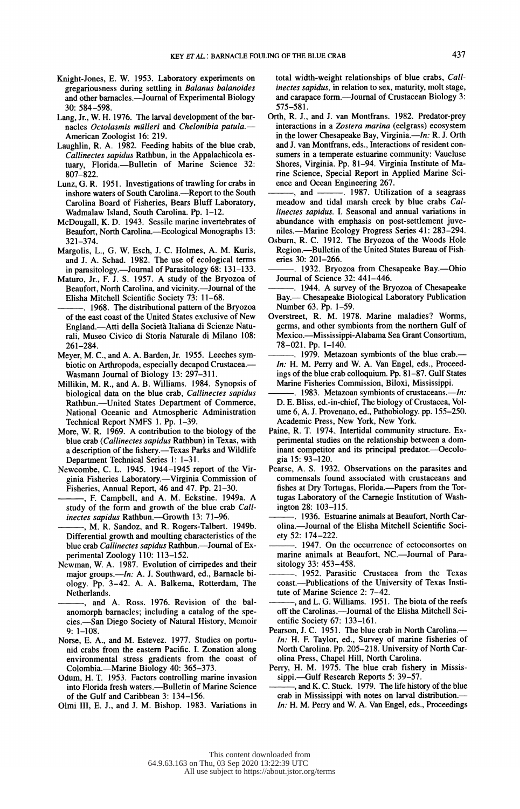- Knight-Jones, E. W. 1953. Laboratory experiments on gregariousness during settling in Balanus balanoides and other barnacles.—Journal of Experimental Biology 30: 584-598.
- Lang, Jr., W. H. 1976. The larval development of the bar nacles Octolasmis mülleri and Chelonibia patula.-American Zoologist 16: 219.
- Laughlin, R. A. 1982. Feeding habits of the blue crab, Callinectes sapidus Rathbun, in the Appalachicola es tuary, Florida.--Bulletin of Marine Science 32: 807-822.
- Lunz, G. R. 1951. Investigations of trawling for crabs in inshore waters of South Carolina.-Report to the South Carolina Board of Fisheries, Bears Bluff Laboratory, Wadmalaw Island, South Carolina. Pp. 1-12.
- McDougall, K. D. 1943. Sessile marine invertebrates of Beaufort, North Carolina.-Ecological Monographs 13: 321-374.
- Margolis, L., G. W. Esch, J. C. Holmes, A. M. Kuris, and J. A. Schad. 1982. The use of ecological terms in parasitology.—Journal of Parasitology 68: 131-133.
- Maturo, Jr., F. J. S. 1957. A study of the Bryozoa of Beaufort, North Carolina, and vicinity.-Journal of the Elisha Mitchell Scientific Society 73: 11-68.
- . 1968. The distributional pattern of the Bryozoa of the east coast of the United States exclusive of New England.-Atti della Societa Italiana di Scienze Natu rali, Museo Civico di Storia Naturale di Milano 108: 261-284.
- Meyer, M. C., and A. A. Barden, Jr. 1955. Leeches sym biotic on Arthropoda, especially decapod Crustacea. Wasmann Journal of Biology 13: 297-311.
- Millikin, M. R., and A. B. Williams. 1984. Synopsis of biological data on the blue crab, Callinectes sapidus Rathbun.---United States Department of Commerce, National Oceanic and Atmospheric Administration Technical Report NMFS 1. Pp. 1-39.
- More, W. R. 1969. A contribution to the biology of the blue crab (Callinectes sapidus Rathbun) in Texas, with a description of the fishery.-Texas Parks and Wildlife Department Technical Series 1: 1-31.
- Newcombe, C. L. 1945. 1944-1945 report of the Vir ginia Fisheries Laboratory.—Virginia Commission of Fisheries, Annual Report, 46 and 47. Pp. 21-30.
	- , F. Campbell, and A. M. Eckstine. 1949a. A study of the form and growth of the blue crab Callinectes sapidus Rathbun.-Growth 13: 71-96.
- , M. R. Sandoz, and R. Rogers-Talbert. 1949b. Differential growth and moulting characteristics of the blue crab Callinectes sapidus Rathbun.-Journal of Experimental Zoology 110: 113-152.
- Newman, W. A. 1987. Evolution of cirripedes and their major groups.—In: A. J. Southward, ed., Barnacle bi ology. Pp. 3-42. A. A. Balkema, Rotterdam, The Netherlands.
- , and A. Ross. 1976. Revision of the bal anomorph barnacles; including a catalog of the spe cies.-San Diego Society of Natural History, Memoir  $9: 1 - 108.$
- Norse, E. A., and M. Estevez. 1977. Studies on portu nid crabs from the eastern Pacific. I. Zonation along environmental stress gradients from the coast of Colombia.-Marine Biology 40: 365-373.
- Odum, H. T. 1953. Factors controlling marine invasion into Florida fresh waters.-Bulletin of Marine Science of the Gulf and Caribbean 3: 134-156.
- Olmi III, E. J., and J. M. Bishop. 1983. Variations in

 total width-weight relationships of blue crabs, Call inectes sapidus, in relation to sex, maturity, molt stage, and carapace form.—Journal of Crustacean Biology 3: 575-581.

- Orth, R. J., and J. van Montfrans. 1982. Predator-prey interactions in a Zostera marina (eelgrass) ecosystem in the lower Chesapeake Bay, Virginia.— $In: R. J.$  Orth and J. van Montfrans, eds., Interactions of resident con sumers in a temperate estuarine community: Vaucluse Shores, Virginia. Pp. 81-94. Virginia Institute of Ma rine Science, Special Report in Applied Marine Sci ence and Ocean Engineering 267.<br>
and 
1987. Utilize
- $\sim$  1987. Utilization of a seagrass meadow and tidal marsh creek by blue crabs Cal linectes sapidus. I. Seasonal and annual variations in abundance with emphasis on post-settlement juve niles.-Marine Ecology Progress Series 41: 283-294.
- Osburn, R. C. 1912. The Bryozoa of the Woods Hole Region.-Bulletin of the United States Bureau of Fish eries 30: 201-266.
- . 1932. Bryozoa from Chesapeake Bay.-Ohio Journal of Science 32: 441-446.
- . 1944. A survey of the Bryozoa of Chesapeake Bay.- Chesapeake Biological Laboratory Publication Number 63. Pp. 1-59.
- Overstreet, R. M. 1978. Marine maladies? Worms, germs, and other symbionts from the northern Gulf of Mexico.-Mississippi-Alabama Sea Grant Consortium, 78-021. Pp. 1-140.
- . 1979. Metazoan symbionts of the blue crab.- In: H. M. Perry and W. A. Van Engel, eds., Proceed ings of the blue crab colloquium. Pp. 81-87. Gulf States Marine Fisheries Commission, Biloxi, Mississippi.
- 1983. Metazoan symbionts of crustaceans.—In: D. E. Bliss, ed.-in-chief, The biology of Crustacea, Vol ume 6, A. J. Provenano, ed., Pathobiology. pp. 155-250. Academic Press, New York, New York.
- Paine, R. T. 1974. Intertidal community structure. Ex perimental studies on the relationship between a dom inant competitor and its principal predator.—Oecologia 15: 93-120.
- Pearse, A. S. 1932. Observations on the parasites and commensals found associated with crustaceans and fishes at Dry Tortugas, Florida.-Papers from the Tor tugas Laboratory of the Carnegie Institution of Wash ington 28: 103-115.
- ? 1936. Estuarine animals at Beaufort, North Car olina.-Journal of the Elisha Mitchell Scientific Society 52: 174-222.
- . 1947. On the occurrence of ectoconsortes on marine animals at Beaufort, NC.-Journal of Parasitology 33: 453-458.
- . 1952. Parasitic Crustacea from the Texas coast.--Publications of the University of Texas Institute of Marine Science 2: 7-42.
- , and L. G. Williams. 1951. The biota of the reefs off the Carolinas.-Journal of the Elisha Mitchell Scientific Society 67: 133-161.
- Pearson, J. C. 1951. The blue crab in North Carolina.- In: H. F. Taylor, ed., Survey of marine fisheries of North Carolina. Pp. 205-218. University of North Car olina Press, Chapel Hill, North Carolina.
- Perry, H. M. 1975. The blue crab fishery in Missis sippi.-Gulf Research Reports 5: 39-57.
- and K. C. Stuck. 1979. The life history of the blue crab in Mississippi with notes on larval distribution.- In: H. M. Perry and W. A. Van Engel, eds., Proceedings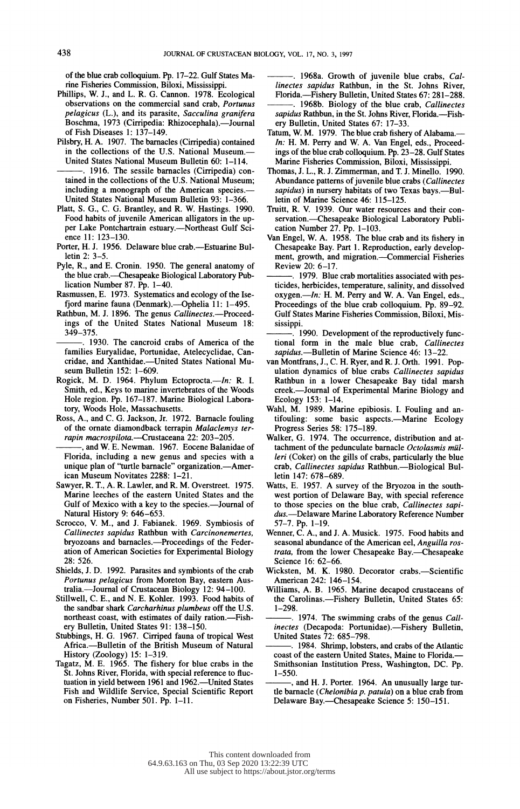of the blue crab colloquium. Pp. 17-22. Gulf States Ma rine Fisheries Commission, Biloxi, Mississippi.

- Phillips, W. J., and L. R. G. Cannon. 1978. Ecological observations on the commercial sand crab, Portunus pelagicus (L.), and its parasite, Sacculina granifera Boschma, 1973 (Cirripedia: Rhizocephala).--Journal of Fish Diseases 1: 137-149.
- Pilsbry, H. A. 1907. The barnacles (Cirripedia) contained in the collections of the U.S. National Museum.- United States National Museum Bulletin 60: 1-114.
- . 1916. The sessile barnacles (Cirripedia) con tained in the collections of the U.S. National Museum; including a monograph of the American species.- United States National Museum Bulletin 93: 1-366.
- Platt, S. G., C. G. Brantley, and R. W. Hastings. 1990. Food habits of juvenile American alligators in the up per Lake Pontchartrain estuary.-Northeast Gulf Science 11: 123-130.
- Porter, H. J. 1956. Delaware blue crab.--Estuarine Bulletin 2: 3-5.
- Pyle, R., and E. Cronin. 1950. The general anatomy of the blue crab.—Chesapeake Biological Laboratory Publication Number 87.  $\tilde{P}p$ . 1-40.
- Rasmussen, E. 1973. Systematics and ecology of the Ise fjord marine fauna (Denmark).---Ophelia 11: 1-495.
- Rathbun, M. J. 1896. The genus Callinectes.—Proceed ings of the United States National Museum 18: 349-375.
- . 1930. The cancroid crabs of America of the families Euryalidae, Portunidae, Atelecyclidae, Can cridae, and Xanthidae.--United States National Museum Bulletin 152: 1-609.
- Rogick, M. D. 1964. Phylum Ectoprocta.- $In: R. I.$  Smith, ed., Keys to marine invertebrates of the Woods Hole region. Pp. 167-187. Marine Biological Labora tory, Woods Hole, Massachusetts.
- Ross, A., and C. G. Jackson, Jr. 1972. Barnacle fouling of the ornate diamondback terrapin Malaclemys ter rapin macrospilota.-Crustaceana 22: 203-205.
- , and W. E. Newman. 1967. Eocene Balanidae of Florida, including a new genus and species with a unique plan of "turtle barnacle" organization.—American Museum Novitates 2288: 1-21.
- Sawyer, R. T., A. R. Lawler, and R. M. Overstreet. 1975. Marine leeches of the eastern United States and the Gulf of Mexico with a key to the species.--Journal of Natural History 9: 646-653.
- Scrocco, V. M., and J. Fabianek. 1969. Symbiosis of Callinectes sapidus Rathbun with Carcinonemertes, bryozoans and barnacles.-Proceedings of the Feder ation of American Societies for Experimental Biology 28: 526.
- Shields, J. D. 1992. Parasites and symbionts of the crab Portunus pelagicus from Moreton Bay, eastern Aus tralia.-Journal of Crustacean Biology 12: 94-100.
- Stillwell, C. E., and N. E. Kohler. 1993. Food habits of the sandbar shark Carcharhinus plumbeus off the U.S. northeast coast, with estimates of daily ration.--Fishery Bulletin, United States 91: 138-150.
- Stubbings, H. G. 1967. Cirriped fauna of tropical West Africa.-Bulletin of the British Museum of Natural History (Zoology) 15: 1-319.
- Tagatz, M. E. 1965. The fishery for blue crabs in the St. Johns River, Florida, with special reference to fluc tuation in yield between 1961 and 1962.-United States Fish and Wildlife Service, Special Scientific Report on Fisheries, Number 501. Pp. 1-11.
- . 1968a. Growth of juvenile blue crabs, Cal linectes sapidus Rathbun, in the St. Johns River, Florida.-Fishery Bulletin, United States 67: 281-288.
- . 1968b. Biology of the blue crab, Callinectes sapidus Rathbun, in the St. Johns River, Florida.-Fishery Bulletin, United States 67: 17-33.
- Tatum, W. M. 1979. The blue crab fishery of Alabama.-In: H. M. Perry and W. A. Van Engel, eds., Proceed ings of the blue crab colloquium. Pp. 23-28. Gulf States Marine Fisheries Commission, Biloxi, Mississippi.
- Thomas, J. L., R. J. Zimmerman, and T. J. Minello. 1990. Abundance patterns of juvenile blue crabs (Callinectes sapidus) in nursery habitats of two Texas bays.-Bulletin of Marine Science 46: 115-125.
- Truitt, R. V. 1939. Our water resources and their con servation.--Chesapeake Biological Laboratory Publication Number 27. Pp. 1-103.
- Van Engel, W. A. 1958. The blue crab and its fishery in Chesapeake Bay. Part 1. Reproduction, early develop ment, growth, and migration.-Commercial Fisheries Review 20: 6-17.
- ? 1979. Blue crab mortalities associated with pes ticides, herbicides, temperature, salinity, and dissolved  $oxygen. - In: H. M. Perry and W. A. Van Engel, eds.,$  Proceedings of the blue crab colloquium. Pp. 89-92. Gulf States Marine Fisheries Commission, Biloxi, Mis sissippi.
- 1990. Development of the reproductively func tional form in the male blue crab, Callinectes sapidus.-Bulletin of Marine Science 46: 13-22
- van Montfrans, J., C. H. Ryer, and R. J. Orth. 1991. Pop ulation dynamics of blue crabs Callinectes sapidus Rathbun in a lower Chesapeake Bay tidal marsh creek.-Journal of Experimental Marine Biology and Ecology 153: 1-14.
- Wahl, M. 1989. Marine epibiosis. I. Fouling and antifouling: some basic aspects.—Marine Ecology Progress Series 58: 175-189.
- Walker, G. 1974. The occurrence, distribution and at tachment of the pedunculate barnacle Octolasmis mül leri (Coker) on the gills of crabs, particularly the blue crab, Callinectes sapidus Rathbun.-Biological Bulletin 147: 678-689.
- Watts, E. 1957. A survey of the Bryozoa in the south west portion of Delaware Bay, with special reference to those species on the blue crab, Callinectes sapi dus.-Delaware Marine Laboratory Reference Number 57-7. Pp. 1-19.
- Wenner, C. A., and J. A. Musick. 1975. Food habits and seasonal abundance of the American eel, Anguilla ros trata, from the lower Chesapeake Bay.--Chesapeake Science 16: 62-66.
- Wicksten, M. K. 1980. Decorator crabs.-Scientific American 242: 146-154.
- Williams, A. B. 1965. Marine decapod crustaceans of the Carolinas.-Fishery Bulletin, United States 65: 1-298.
- . 1974. The swimming crabs of the genus Callinectes (Decapoda: Portunidae).-Fishery Bulletin, United States 72: 685-798.
- 1984. Shrimp, lobsters, and crabs of the Atlantic coast of the eastern United States, Maine to Florida.- Smithsonian Institution Press, Washington, DC. Pp. 1-550.
- , and H. J. Porter. 1964. An unusually large tur tle barnacle (Chelonibia p. patula) on a blue crab from Delaware Bay.-Chesapeake Science 5: 150-151.